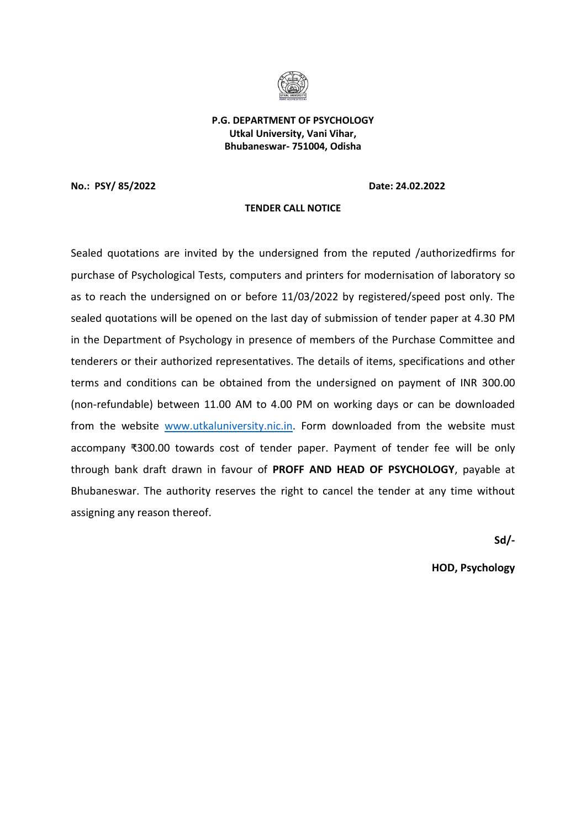

**P.G. DEPARTMENT OF PSYCHOLOGY Utkal University, Vani Vihar, Bhubaneswar- 751004, Odisha** 

**No.: PSY/ 85/2022 Date: 24.02.2022** 

### **TENDER CALL NOTICE**

Sealed quotations are invited by the undersigned from the reputed /authorizedfirms for purchase of Psychological Tests, computers and printers for modernisation of laboratory so as to reach the undersigned on or before 11/03/2022 by registered/speed post only. The sealed quotations will be opened on the last day of submission of tender paper at 4.30 PM in the Department of Psychology in presence of members of the Purchase Committee and tenderers or their authorized representatives. The details of items, specifications and other terms and conditions can be obtained from the undersigned on payment of INR 300.00 (non-refundable) between 11.00 AM to 4.00 PM on working days or can be downloaded from the website [www.utkaluniversity.nic.in.](http://www.utkaluniversity.nic.in/) Form downloaded from the website must accompany ₹300.00 towards cost of tender paper. Payment of tender fee will be only through bank draft drawn in favour of **PROFF AND HEAD OF PSYCHOLOGY**, payable at Bhubaneswar. The authority reserves the right to cancel the tender at any time without assigning any reason thereof.

**Sd/-** 

**HOD, Psychology**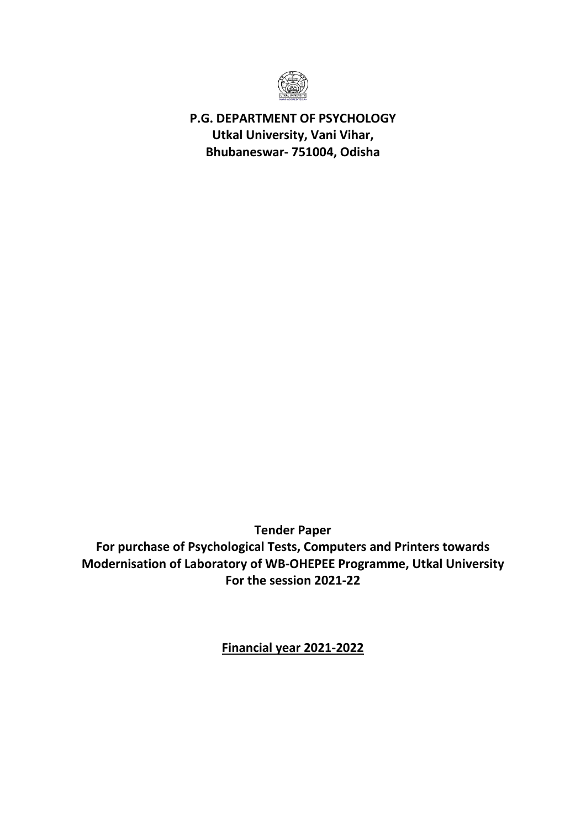

**P.G. DEPARTMENT OF PSYCHOLOGY Utkal University, Vani Vihar, Bhubaneswar- 751004, Odisha** 

**Tender Paper** 

**For purchase of Psychological Tests, Computers and Printers towards Modernisation of Laboratory of WB-OHEPEE Programme, Utkal University For the session 2021-22**

**Financial year 2021-2022**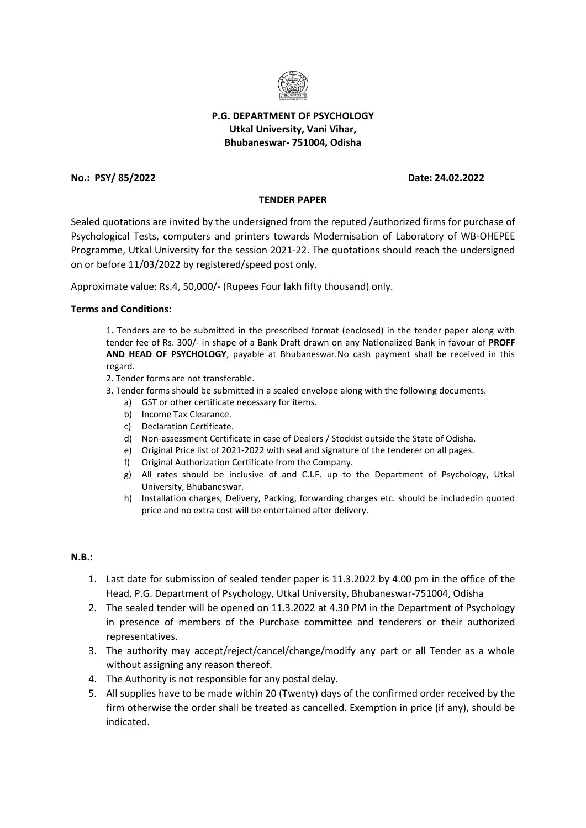

# **P.G. DEPARTMENT OF PSYCHOLOGY Utkal University, Vani Vihar, Bhubaneswar- 751004, Odisha**

# **No.: PSY/ 85/2022 Date: 24.02.2022**

# **TENDER PAPER**

Sealed quotations are invited by the undersigned from the reputed /authorized firms for purchase of Psychological Tests, computers and printers towards Modernisation of Laboratory of WB-OHEPEE Programme, Utkal University for the session 2021-22. The quotations should reach the undersigned on or before 11/03/2022 by registered/speed post only.

Approximate value: Rs.4, 50,000/- (Rupees Four lakh fifty thousand) only.

### **Terms and Conditions:**

1. Tenders are to be submitted in the prescribed format (enclosed) in the tender paper along with tender fee of Rs. 300/- in shape of a Bank Draft drawn on any Nationalized Bank in favour of **PROFF AND HEAD OF PSYCHOLOGY**, payable at Bhubaneswar.No cash payment shall be received in this regard.

2. Tender forms are not transferable.

- 3. Tender forms should be submitted in a sealed envelope along with the following documents.
	- a) GST or other certificate necessary for items.
	- b) Income Tax Clearance.
	- c) Declaration Certificate.
	- d) Non-assessment Certificate in case of Dealers / Stockist outside the State of Odisha.
	- e) Original Price list of 2021-2022 with seal and signature of the tenderer on all pages.
	- f) Original Authorization Certificate from the Company.
	- g) All rates should be inclusive of and C.I.F. up to the Department of Psychology, Utkal University, Bhubaneswar.
	- h) Installation charges, Delivery, Packing, forwarding charges etc. should be includedin quoted price and no extra cost will be entertained after delivery.

## **N.B.:**

- 1. Last date for submission of sealed tender paper is 11.3.2022 by 4.00 pm in the office of the Head, P.G. Department of Psychology, Utkal University, Bhubaneswar-751004, Odisha
- 2. The sealed tender will be opened on 11.3.2022 at 4.30 PM in the Department of Psychology in presence of members of the Purchase committee and tenderers or their authorized representatives.
- 3. The authority may accept/reject/cancel/change/modify any part or all Tender as a whole without assigning any reason thereof.
- 4. The Authority is not responsible for any postal delay.
- 5. All supplies have to be made within 20 (Twenty) days of the confirmed order received by the firm otherwise the order shall be treated as cancelled. Exemption in price (if any), should be indicated.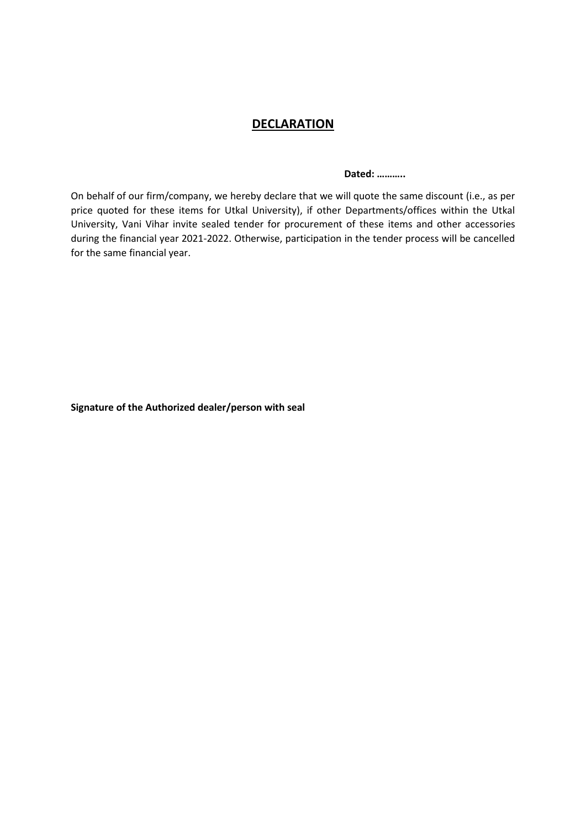# **DECLARATION**

 **Dated: ………..** 

On behalf of our firm/company, we hereby declare that we will quote the same discount (i.e., as per price quoted for these items for Utkal University), if other Departments/offices within the Utkal University, Vani Vihar invite sealed tender for procurement of these items and other accessories during the financial year 2021-2022. Otherwise, participation in the tender process will be cancelled for the same financial year.

**Signature of the Authorized dealer/person with seal**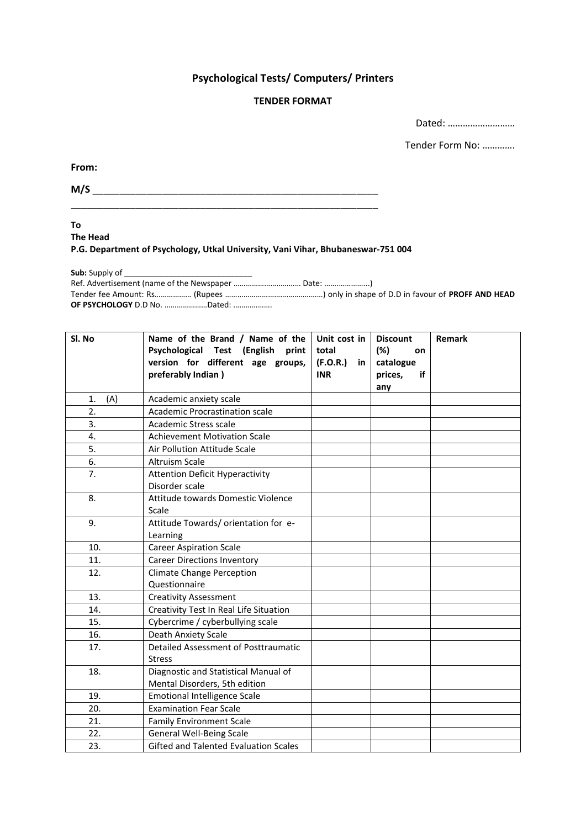# **Psychological Tests/ Computers/ Printers**

# **TENDER FORMAT**

Dated: ………………………

Tender Form No: ………….

**From:** 

**M/S** \_\_\_\_\_\_\_\_\_\_\_\_\_\_\_\_\_\_\_\_\_\_\_\_\_\_\_\_\_\_\_\_\_\_\_\_\_\_\_\_\_\_\_\_\_\_\_\_\_\_\_\_\_

**To** 

**The Head** 

**P.G. Department of Psychology, Utkal University, Vani Vihar, Bhubaneswar-751 004** 

Sub: Supply of

Ref. Advertisement (name of the Newspaper …………………………… Date: …….…………...) Tender fee Amount: Rs……………… (Rupees …………………………………………) only in shape of D.D in favour of **PROFF AND HEAD OF PSYCHOLOGY** D.D No. …………………Dated: ……………….

| Sl. No    | Name of the Brand / Name of the<br>Psychological Test (English<br>print<br>version for different age groups, | Unit cost in<br>total<br>(F.O.R.)<br>in | <b>Discount</b><br>(%)<br>on<br>catalogue | Remark |
|-----------|--------------------------------------------------------------------------------------------------------------|-----------------------------------------|-------------------------------------------|--------|
|           | preferably Indian)                                                                                           | <b>INR</b>                              | prices,<br>if<br>any                      |        |
| (A)<br>1. | Academic anxiety scale                                                                                       |                                         |                                           |        |
| 2.        | Academic Procrastination scale                                                                               |                                         |                                           |        |
| 3.        | Academic Stress scale                                                                                        |                                         |                                           |        |
| 4.        | <b>Achievement Motivation Scale</b>                                                                          |                                         |                                           |        |
| 5.        | Air Pollution Attitude Scale                                                                                 |                                         |                                           |        |
| 6.        | <b>Altruism Scale</b>                                                                                        |                                         |                                           |        |
| 7.        | <b>Attention Deficit Hyperactivity</b><br>Disorder scale                                                     |                                         |                                           |        |
| 8.        | Attitude towards Domestic Violence<br>Scale                                                                  |                                         |                                           |        |
| 9.        | Attitude Towards/ orientation for e-<br>Learning                                                             |                                         |                                           |        |
| 10.       | <b>Career Aspiration Scale</b>                                                                               |                                         |                                           |        |
| 11.       | <b>Career Directions Inventory</b>                                                                           |                                         |                                           |        |
| 12.       | <b>Climate Change Perception</b>                                                                             |                                         |                                           |        |
|           | Questionnaire                                                                                                |                                         |                                           |        |
| 13.       | <b>Creativity Assessment</b>                                                                                 |                                         |                                           |        |
| 14.       | Creativity Test In Real Life Situation                                                                       |                                         |                                           |        |
| 15.       | Cybercrime / cyberbullying scale                                                                             |                                         |                                           |        |
| 16.       | Death Anxiety Scale                                                                                          |                                         |                                           |        |
| 17.       | Detailed Assessment of Posttraumatic<br><b>Stress</b>                                                        |                                         |                                           |        |
| 18.       | Diagnostic and Statistical Manual of<br>Mental Disorders, 5th edition                                        |                                         |                                           |        |
| 19.       | <b>Emotional Intelligence Scale</b>                                                                          |                                         |                                           |        |
| 20.       | <b>Examination Fear Scale</b>                                                                                |                                         |                                           |        |
| 21.       | <b>Family Environment Scale</b>                                                                              |                                         |                                           |        |
| 22.       | <b>General Well-Being Scale</b>                                                                              |                                         |                                           |        |
| 23.       | <b>Gifted and Talented Evaluation Scales</b>                                                                 |                                         |                                           |        |